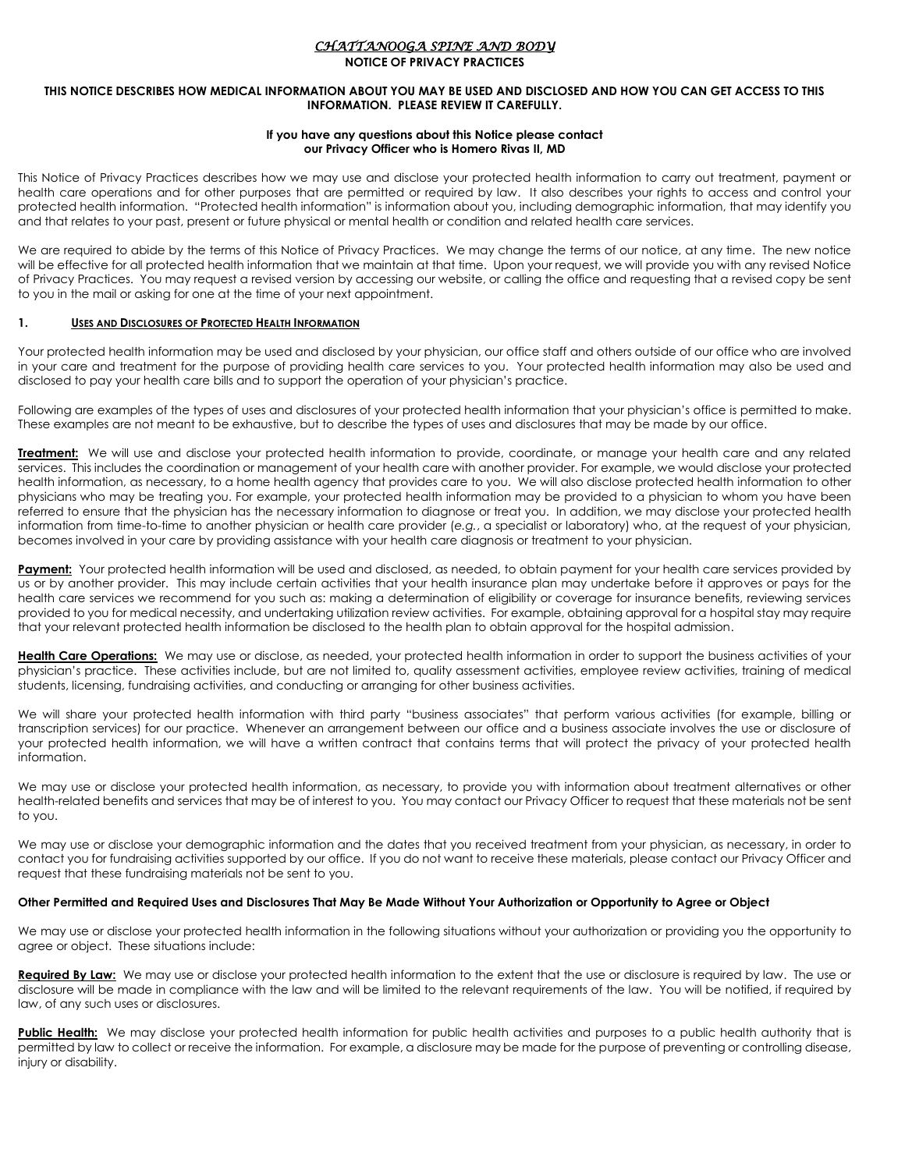### *CHATTANOOGA SPINE AND BODY*  **NOTICE OF PRIVACY PRACTICES**

**THIS NOTICE DESCRIBES HOW MEDICAL INFORMATION ABOUT YOU MAY BE USED AND DISCLOSED AND HOW YOU CAN GET ACCESS TO THIS INFORMATION. PLEASE REVIEW IT CAREFULLY.**

# **If you have any questions about this Notice please contact our Privacy Officer who is Homero Rivas II, MD**

This Notice of Privacy Practices describes how we may use and disclose your protected health information to carry out treatment, payment or health care operations and for other purposes that are permitted or required by law. It also describes your rights to access and control your protected health information. "Protected health information" is information about you, including demographic information, that may identify you and that relates to your past, present or future physical or mental health or condition and related health care services.

We are required to abide by the terms of this Notice of Privacy Practices. We may change the terms of our notice, at any time. The new notice will be effective for all protected health information that we maintain at that time. Upon your request, we will provide you with any revised Notice of Privacy Practices. You may request a revised version by accessing our website, or calling the office and requesting that a revised copy be sent to you in the mail or asking for one at the time of your next appointment.

## **1. USES AND DISCLOSURES OF PROTECTED HEALTH INFORMATION**

Your protected health information may be used and disclosed by your physician, our office staff and others outside of our office who are involved in your care and treatment for the purpose of providing health care services to you. Your protected health information may also be used and disclosed to pay your health care bills and to support the operation of your physician's practice.

Following are examples of the types of uses and disclosures of your protected health information that your physician's office is permitted to make. These examples are not meant to be exhaustive, but to describe the types of uses and disclosures that may be made by our office.

**Treatment:** We will use and disclose your protected health information to provide, coordinate, or manage your health care and any related services. This includes the coordination or management of your health care with another provider. For example, we would disclose your protected health information, as necessary, to a home health agency that provides care to you. We will also disclose protected health information to other physicians who may be treating you. For example, your protected health information may be provided to a physician to whom you have been referred to ensure that the physician has the necessary information to diagnose or treat you. In addition, we may disclose your protected health information from time-to-time to another physician or health care provider (*e.g.*, a specialist or laboratory) who, at the request of your physician, becomes involved in your care by providing assistance with your health care diagnosis or treatment to your physician.

Payment: Your protected health information will be used and disclosed, as needed, to obtain payment for your health care services provided by us or by another provider. This may include certain activities that your health insurance plan may undertake before it approves or pays for the health care services we recommend for you such as: making a determination of eligibility or coverage for insurance benefits, reviewing services provided to you for medical necessity, and undertaking utilization review activities. For example, obtaining approval for a hospital stay may require that your relevant protected health information be disclosed to the health plan to obtain approval for the hospital admission.

**Health Care Operations:** We may use or disclose, as needed, your protected health information in order to support the business activities of your physician's practice. These activities include, but are not limited to, quality assessment activities, employee review activities, training of medical students, licensing, fundraising activities, and conducting or arranging for other business activities.

We will share your protected health information with third party "business associates" that perform various activities (for example, billing or transcription services) for our practice. Whenever an arrangement between our office and a business associate involves the use or disclosure of your protected health information, we will have a written contract that contains terms that will protect the privacy of your protected health information.

We may use or disclose your protected health information, as necessary, to provide you with information about treatment alternatives or other health-related benefits and services that may be of interest to you. You may contact our Privacy Officer to request that these materials not be sent to you.

We may use or disclose your demographic information and the dates that you received treatment from your physician, as necessary, in order to contact you for fundraising activities supported by our office. If you do not want to receive these materials, please contact our Privacy Officer and request that these fundraising materials not be sent to you.

## **Other Permitted and Required Uses and Disclosures That May Be Made Without Your Authorization or Opportunity to Agree or Object**

We may use or disclose your protected health information in the following situations without your authorization or providing you the opportunity to agree or object. These situations include:

**Required By Law:** We may use or disclose your protected health information to the extent that the use or disclosure is required by law. The use or disclosure will be made in compliance with the law and will be limited to the relevant requirements of the law. You will be notified, if required by law, of any such uses or disclosures.

**Public Health:** We may disclose your protected health information for public health activities and purposes to a public health authority that is permitted by law to collect or receive the information. For example, a disclosure may be made for the purpose of preventing or controlling disease, injury or disability.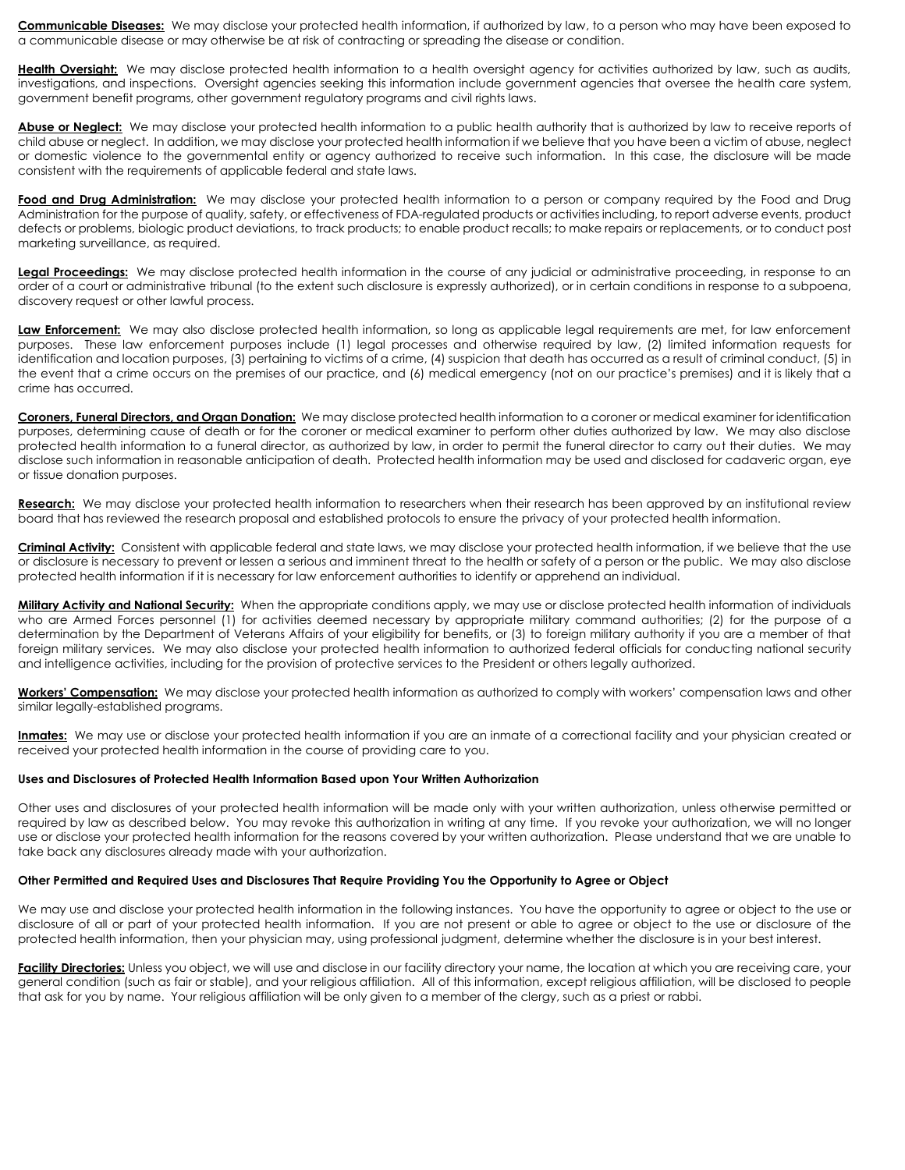**Communicable Diseases:** We may disclose your protected health information, if authorized by law, to a person who may have been exposed to a communicable disease or may otherwise be at risk of contracting or spreading the disease or condition.

**Health Oversight:** We may disclose protected health information to a health oversight agency for activities authorized by law, such as audits, investigations, and inspections. Oversight agencies seeking this information include government agencies that oversee the health care system, government benefit programs, other government regulatory programs and civil rights laws.

Abuse or Neglect: We may disclose your protected health information to a public health authority that is authorized by law to receive reports of child abuse or neglect. In addition, we may disclose your protected health information if we believe that you have been a victim of abuse, neglect or domestic violence to the governmental entity or agency authorized to receive such information. In this case, the disclosure will be made consistent with the requirements of applicable federal and state laws.

Food and Drug Administration: We may disclose your protected health information to a person or company required by the Food and Drug Administration for the purpose of quality, safety, or effectiveness of FDA-regulated products or activities including, to report adverse events, product defects or problems, biologic product deviations, to track products; to enable product recalls; to make repairs or replacements, or to conduct post marketing surveillance, as required.

Legal Proceedings: We may disclose protected health information in the course of any judicial or administrative proceeding, in response to an order of a court or administrative tribunal (to the extent such disclosure is expressly authorized), or in certain conditions in response to a subpoena, discovery request or other lawful process.

**Law Enforcement:** We may also disclose protected health information, so long as applicable legal requirements are met, for law enforcement purposes. These law enforcement purposes include (1) legal processes and otherwise required by law, (2) limited information requests for identification and location purposes, (3) pertaining to victims of a crime, (4) suspicion that death has occurred as a result of criminal conduct, (5) in the event that a crime occurs on the premises of our practice, and (6) medical emergency (not on our practice's premises) and it is likely that a crime has occurred.

**Coroners, Funeral Directors, and Organ Donation:** We may disclose protected health information to a coroner or medical examiner for identification purposes, determining cause of death or for the coroner or medical examiner to perform other duties authorized by law. We may also disclose protected health information to a funeral director, as authorized by law, in order to permit the funeral director to carry out their duties. We may disclose such information in reasonable anticipation of death. Protected health information may be used and disclosed for cadaveric organ, eye or tissue donation purposes.

Research: We may disclose your protected health information to researchers when their research has been approved by an institutional review board that has reviewed the research proposal and established protocols to ensure the privacy of your protected health information.

**Criminal Activity:** Consistent with applicable federal and state laws, we may disclose your protected health information, if we believe that the use or disclosure is necessary to prevent or lessen a serious and imminent threat to the health or safety of a person or the public. We may also disclose protected health information if it is necessary for law enforcement authorities to identify or apprehend an individual.

**Military Activity and National Security:** When the appropriate conditions apply, we may use or disclose protected health information of individuals who are Armed Forces personnel (1) for activities deemed necessary by appropriate military command authorities; (2) for the purpose of a determination by the Department of Veterans Affairs of your eligibility for benefits, or (3) to foreign military authority if you are a member of that foreign military services. We may also disclose your protected health information to authorized federal officials for conducting national security and intelligence activities, including for the provision of protective services to the President or others legally authorized.

**Workers' Compensation:** We may disclose your protected health information as authorized to comply with workers' compensation laws and other similar legally-established programs.

**Inmates:** We may use or disclose your protected health information if you are an inmate of a correctional facility and your physician created or received your protected health information in the course of providing care to you.

#### **Uses and Disclosures of Protected Health Information Based upon Your Written Authorization**

Other uses and disclosures of your protected health information will be made only with your written authorization, unless otherwise permitted or required by law as described below. You may revoke this authorization in writing at any time. If you revoke your authorization, we will no longer use or disclose your protected health information for the reasons covered by your written authorization. Please understand that we are unable to take back any disclosures already made with your authorization.

#### **Other Permitted and Required Uses and Disclosures That Require Providing You the Opportunity to Agree or Object**

We may use and disclose your protected health information in the following instances. You have the opportunity to agree or object to the use or disclosure of all or part of your protected health information. If you are not present or able to agree or object to the use or disclosure of the protected health information, then your physician may, using professional judgment, determine whether the disclosure is in your best interest.

**Facility Directories:** Unless you object, we will use and disclose in our facility directory your name, the location at which you are receiving care, your general condition (such as fair or stable), and your religious affiliation. All of this information, except religious affiliation, will be disclosed to people that ask for you by name. Your religious affiliation will be only given to a member of the clergy, such as a priest or rabbi.